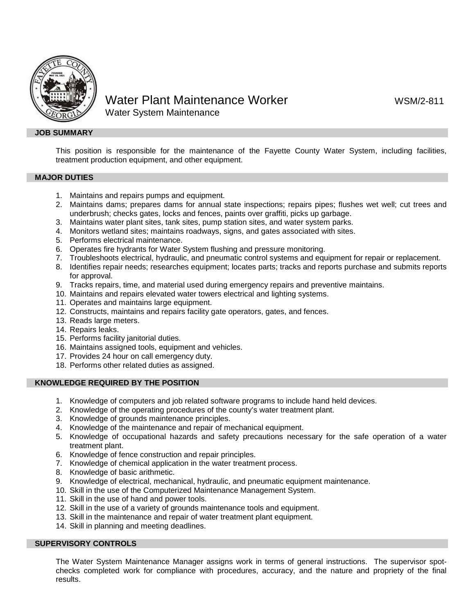

# Water Plant Maintenance Worker WATER WSM/2-811 Water System Maintenance

## **JOB SUMMARY**

This position is responsible for the maintenance of the Fayette County Water System, including facilities, treatment production equipment, and other equipment.

## **MAJOR DUTIES**

- 1. Maintains and repairs pumps and equipment.
- 2. Maintains dams; prepares dams for annual state inspections; repairs pipes; flushes wet well; cut trees and underbrush; checks gates, locks and fences, paints over graffiti, picks up garbage.
- 3. Maintains water plant sites, tank sites, pump station sites, and water system parks.
- 4. Monitors wetland sites; maintains roadways, signs, and gates associated with sites.
- 5. Performs electrical maintenance.
- 6. Operates fire hydrants for Water System flushing and pressure monitoring.
- 7. Troubleshoots electrical, hydraulic, and pneumatic control systems and equipment for repair or replacement.
- 8. Identifies repair needs; researches equipment; locates parts; tracks and reports purchase and submits reports for approval.
- 9. Tracks repairs, time, and material used during emergency repairs and preventive maintains.
- 10. Maintains and repairs elevated water towers electrical and lighting systems.
- 11. Operates and maintains large equipment.
- 12. Constructs, maintains and repairs facility gate operators, gates, and fences.
- 13. Reads large meters.
- 14. Repairs leaks.
- 15. Performs facility janitorial duties.
- 16. Maintains assigned tools, equipment and vehicles.
- 17. Provides 24 hour on call emergency duty.
- 18. Performs other related duties as assigned.

## **KNOWLEDGE REQUIRED BY THE POSITION**

- 1. Knowledge of computers and job related software programs to include hand held devices.
- 2. Knowledge of the operating procedures of the county's water treatment plant.
- 3. Knowledge of grounds maintenance principles.
- 4. Knowledge of the maintenance and repair of mechanical equipment.
- 5. Knowledge of occupational hazards and safety precautions necessary for the safe operation of a water treatment plant.
- 6. Knowledge of fence construction and repair principles.
- 7. Knowledge of chemical application in the water treatment process.
- 8. Knowledge of basic arithmetic.
- 9. Knowledge of electrical, mechanical, hydraulic, and pneumatic equipment maintenance.
- 10. Skill in the use of the Computerized Maintenance Management System.
- 11. Skill in the use of hand and power tools.
- 12. Skill in the use of a variety of grounds maintenance tools and equipment.
- 13. Skill in the maintenance and repair of water treatment plant equipment.
- 14. Skill in planning and meeting deadlines.

## **SUPERVISORY CONTROLS**

The Water System Maintenance Manager assigns work in terms of general instructions. The supervisor spotchecks completed work for compliance with procedures, accuracy, and the nature and propriety of the final results.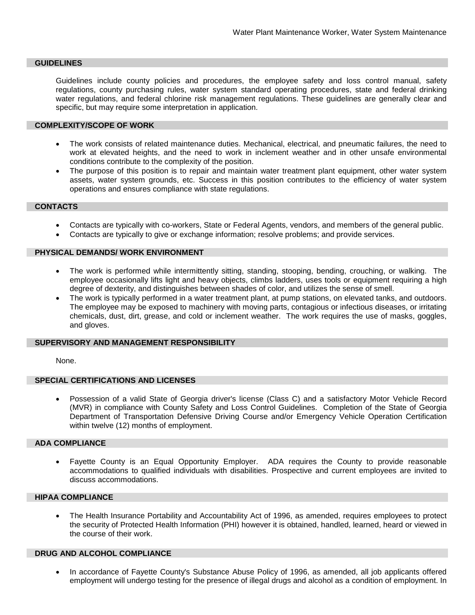#### **GUIDELINES**

Guidelines include county policies and procedures, the employee safety and loss control manual, safety regulations, county purchasing rules, water system standard operating procedures, state and federal drinking water regulations, and federal chlorine risk management regulations. These guidelines are generally clear and specific, but may require some interpretation in application.

#### **COMPLEXITY/SCOPE OF WORK**

- The work consists of related maintenance duties. Mechanical, electrical, and pneumatic failures, the need to work at elevated heights, and the need to work in inclement weather and in other unsafe environmental conditions contribute to the complexity of the position.
- The purpose of this position is to repair and maintain water treatment plant equipment, other water system assets, water system grounds, etc. Success in this position contributes to the efficiency of water system operations and ensures compliance with state regulations.

#### **CONTACTS**

- Contacts are typically with co-workers, State or Federal Agents, vendors, and members of the general public.
- Contacts are typically to give or exchange information; resolve problems; and provide services.

#### **PHYSICAL DEMANDS/ WORK ENVIRONMENT**

- The work is performed while intermittently sitting, standing, stooping, bending, crouching, or walking. The employee occasionally lifts light and heavy objects, climbs ladders, uses tools or equipment requiring a high degree of dexterity, and distinguishes between shades of color, and utilizes the sense of smell.
- The work is typically performed in a water treatment plant, at pump stations, on elevated tanks, and outdoors. The employee may be exposed to machinery with moving parts, contagious or infectious diseases, or irritating chemicals, dust, dirt, grease, and cold or inclement weather. The work requires the use of masks, goggles, and gloves.

#### **SUPERVISORY AND MANAGEMENT RESPONSIBILITY**

None.

## **SPECIAL CERTIFICATIONS AND LICENSES**

• Possession of a valid State of Georgia driver's license (Class C) and a satisfactory Motor Vehicle Record (MVR) in compliance with County Safety and Loss Control Guidelines. Completion of the State of Georgia Department of Transportation Defensive Driving Course and/or Emergency Vehicle Operation Certification within twelve (12) months of employment.

#### **ADA COMPLIANCE**

• Fayette County is an Equal Opportunity Employer. ADA requires the County to provide reasonable accommodations to qualified individuals with disabilities. Prospective and current employees are invited to discuss accommodations.

## **HIPAA COMPLIANCE**

• The Health Insurance Portability and Accountability Act of 1996, as amended, requires employees to protect the security of Protected Health Information (PHI) however it is obtained, handled, learned, heard or viewed in the course of their work.

## **DRUG AND ALCOHOL COMPLIANCE**

• In accordance of Fayette County's Substance Abuse Policy of 1996, as amended, all job applicants offered employment will undergo testing for the presence of illegal drugs and alcohol as a condition of employment. In